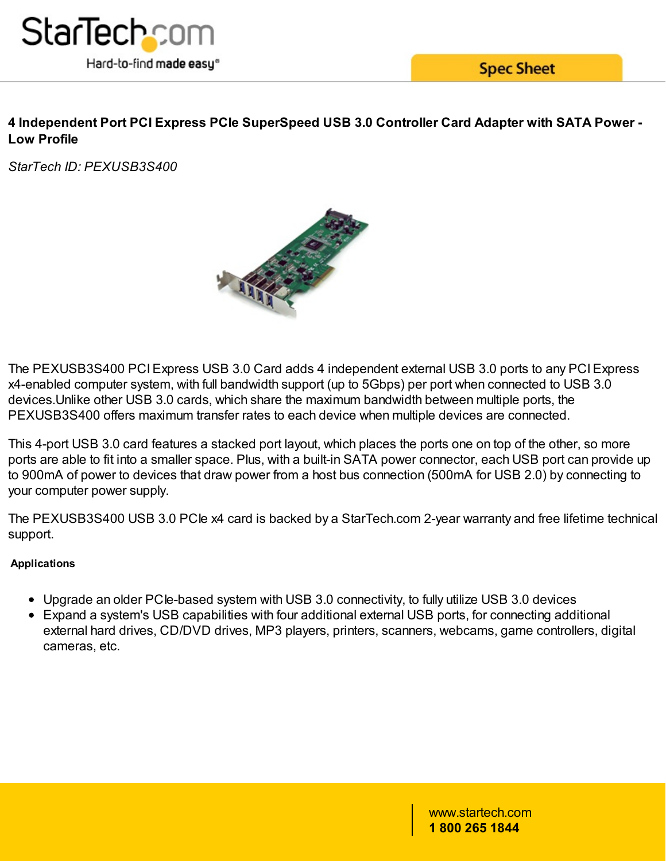

**Spec Sheet** 

# **4 Independent Port PCI Express PCIe SuperSpeed USB 3.0 Controller Card Adapter with SATA Power - Low Profile**

*StarTech ID: PEXUSB3S400*



The PEXUSB3S400 PCIExpress USB 3.0 Card adds 4 independent external USB 3.0 ports to any PCIExpress x4-enabled computer system, with full bandwidth support (up to 5Gbps) per port when connected to USB 3.0 devices.Unlike other USB 3.0 cards, which share the maximum bandwidth between multiple ports, the PEXUSB3S400 offers maximum transfer rates to each device when multiple devices are connected.

This 4-port USB 3.0 card features a stacked port layout, which places the ports one on top of the other, so more ports are able to fit into a smaller space. Plus, with a built-in SATA power connector, each USB port can provide up to 900mA of power to devices that draw power from a host bus connection (500mA for USB 2.0) by connecting to your computer power supply.

The PEXUSB3S400 USB 3.0 PCIe x4 card is backed by a StarTech.com 2-year warranty and free lifetime technical support.

## **Applications**

- Upgrade an older PCIe-based system with USB 3.0 connectivity, to fully utilize USB 3.0 devices
- Expand a system's USB capabilities with four additional external USB ports, for connecting additional external hard drives, CD/DVD drives, MP3 players, printers, scanners, webcams, game controllers, digital cameras, etc.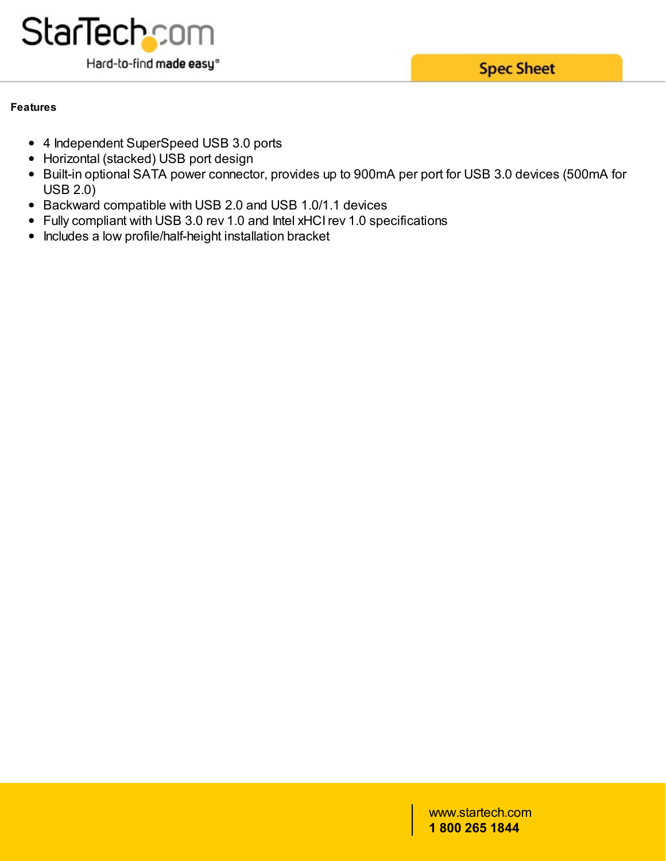

**Spec Sheet** 

#### **Features**

- 4 Independent SuperSpeed USB 3.0 ports
- Horizontal (stacked) USB port design
- Built-in optional SATA power connector, provides up to 900mA per port for USB 3.0 devices (500mA for USB 2.0)
- Backward compatible with USB 2.0 and USB 1.0/1.1 devices
- Fully compliant with USB 3.0 rev 1.0 and Intel xHCIrev 1.0 specifications
- Includes a low profile/half-height installation bracket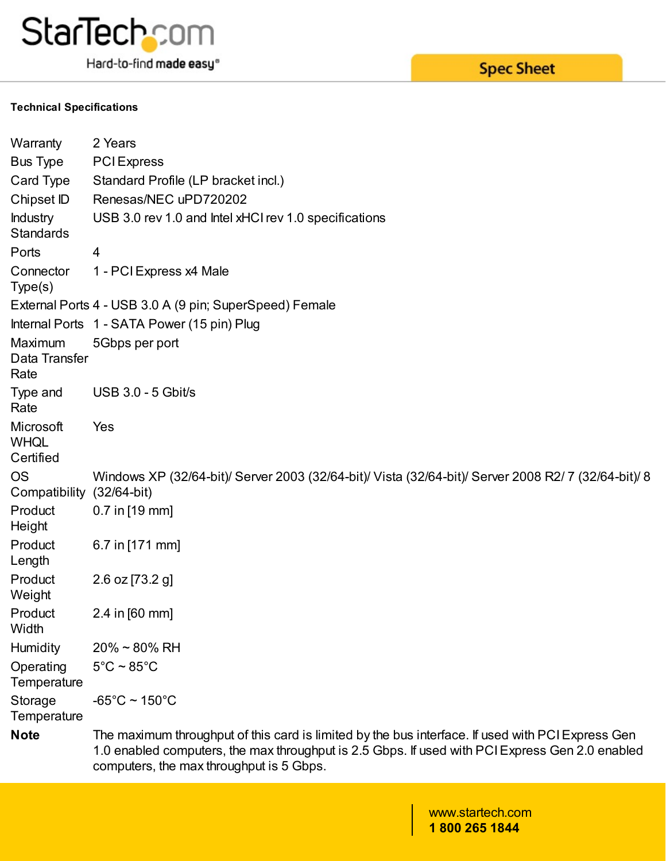

Hard-to-find made easy®

#### **Technical Specifications**

| Warranty                            | 2 Years                                                                                                                                                                                                                                          |  |  |
|-------------------------------------|--------------------------------------------------------------------------------------------------------------------------------------------------------------------------------------------------------------------------------------------------|--|--|
| <b>Bus Type</b>                     | <b>PCI</b> Express                                                                                                                                                                                                                               |  |  |
| Card Type                           | Standard Profile (LP bracket incl.)                                                                                                                                                                                                              |  |  |
| Chipset ID                          | Renesas/NEC uPD720202                                                                                                                                                                                                                            |  |  |
| <b>Industry</b><br><b>Standards</b> | USB 3.0 rev 1.0 and Intel xHCI rev 1.0 specifications                                                                                                                                                                                            |  |  |
| Ports                               | 4                                                                                                                                                                                                                                                |  |  |
| Connector<br>Type(s)                | 1 - PCI Express x4 Male                                                                                                                                                                                                                          |  |  |
|                                     | External Ports 4 - USB 3.0 A (9 pin; SuperSpeed) Female                                                                                                                                                                                          |  |  |
|                                     | Internal Ports 1 - SATA Power (15 pin) Plug                                                                                                                                                                                                      |  |  |
| Maximum<br>Data Transfer<br>Rate    | 5Gbps per port                                                                                                                                                                                                                                   |  |  |
| Type and<br>Rate                    | <b>USB 3.0 - 5 Gbit/s</b>                                                                                                                                                                                                                        |  |  |
| Microsoft<br>WHQL<br>Certified      | Yes                                                                                                                                                                                                                                              |  |  |
| OS<br>Compatibility (32/64-bit)     | Windows XP (32/64-bit)/ Server 2003 (32/64-bit)/ Vista (32/64-bit)/ Server 2008 R2/7 (32/64-bit)/ 8                                                                                                                                              |  |  |
| Product<br>Height                   | $0.7$ in [19 mm]                                                                                                                                                                                                                                 |  |  |
| Product<br>Length                   | 6.7 in [171 mm]                                                                                                                                                                                                                                  |  |  |
| Product<br>Weight                   | 2.6 oz [73.2 g]                                                                                                                                                                                                                                  |  |  |
| Product<br>Width                    | 2.4 in [60 mm]                                                                                                                                                                                                                                   |  |  |
| <b>Humidity</b>                     | $20\% \sim 80\%$ RH                                                                                                                                                                                                                              |  |  |
| Operating<br>Temperature            | $5^{\circ}$ C ~ 85 $^{\circ}$ C                                                                                                                                                                                                                  |  |  |
| Storage<br>Temperature              | $-65^{\circ}$ C ~ 150 $^{\circ}$ C                                                                                                                                                                                                               |  |  |
| <b>Note</b>                         | The maximum throughput of this card is limited by the bus interface. If used with PCI Express Gen<br>1.0 enabled computers, the max throughput is 2.5 Gbps. If used with PCI Express Gen 2.0 enabled<br>computers, the max throughput is 5 Gbps. |  |  |